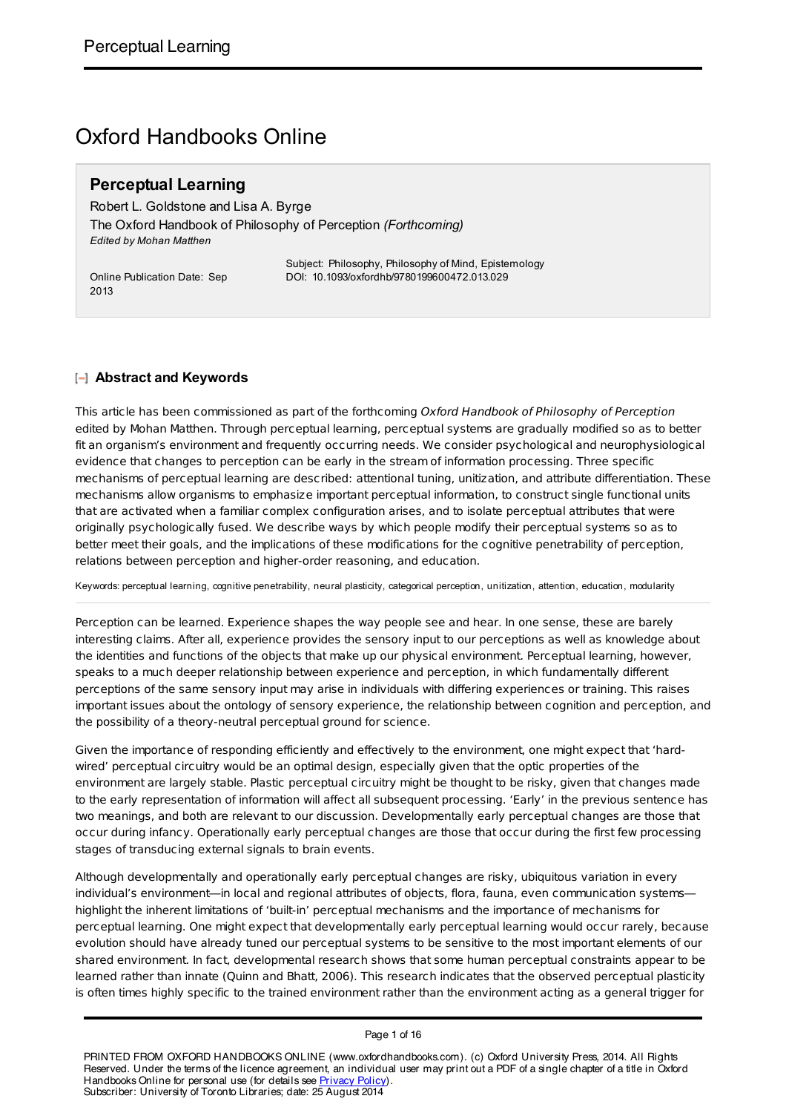# Oxford Handbooks Online

### **Perceptual Learning**

Robert L. Goldstone and Lisa A. Byrge The Oxford Handbook of Philosophy of Perception *(Forthcoming) Edited by Mohan Matthen*

Online Publication Date: Sep 2013

Subject: Philosophy, Philosophy of Mind, Epistemology DOI: 10.1093/oxfordhb/9780199600472.013.029

### **Abstract and Keywords**

This article has been commissioned as part of the forthcoming Oxford Handbook of Philosophy of Perception edited by Mohan Matthen. Through perceptual learning, perceptual systems are gradually modified so as to better fit an organism's environment and frequently occurring needs. We consider psychological and neurophysiological evidence that changes to perception can be early in the stream of information processing. Three specific mechanisms of perceptual learning are described: attentional tuning, unitization, and attribute differentiation. These mechanisms allow organisms to emphasize important perceptual information, to construct single functional units that are activated when a familiar complex configuration arises, and to isolate perceptual attributes that were originally psychologically fused. We describe ways by which people modify their perceptual systems so as to better meet their goals, and the implications of these modifications for the cognitive penetrability of perception, relations between perception and higher-order reasoning, and education.

Keywords: perceptual learning, cognitive penetrability, neural plasticity, categorical perception, unitization, attention, education, modularity

Perception can be learned. Experience shapes the way people see and hear. In one sense, these are barely interesting claims. After all, experience provides the sensory input to our perceptions as well as knowledge about the identities and functions of the objects that make up our physical environment. Perceptual learning, however, speaks to a much deeper relationship between experience and perception, in which fundamentally different perceptions of the same sensory input may arise in individuals with differing experiences or training. This raises important issues about the ontology of sensory experience, the relationship between cognition and perception, and the possibility of a theory-neutral perceptual ground for science.

Given the importance of responding efficiently and effectively to the environment, one might expect that 'hardwired' perceptual circuitry would be an optimal design, especially given that the optic properties of the environment are largely stable. Plastic perceptual circuitry might be thought to be risky, given that changes made to the early representation of information will affect all subsequent processing. 'Early' in the previous sentence has two meanings, and both are relevant to our discussion. Developmentally early perceptual changes are those that occur during infancy. Operationally early perceptual changes are those that occur during the first few processing stages of transducing external signals to brain events.

Although developmentally and operationally early perceptual changes are risky, ubiquitous variation in every individual's environment—in local and regional attributes of objects, flora, fauna, even communication systems highlight the inherent limitations of 'built-in' perceptual mechanisms and the importance of mechanisms for perceptual learning. One might expect that developmentally early perceptual learning would occur rarely, because evolution should have already tuned our perceptual systems to be sensitive to the most important elements of our shared environment. In fact, developmental research shows that some human perceptual constraints appear to be learned rather than innate (Quinn and Bhatt, 2006). This research indicates that the observed perceptual plasticity is often times highly specific to the trained environment rather than the environment acting as a general trigger for

#### Page 1 of 16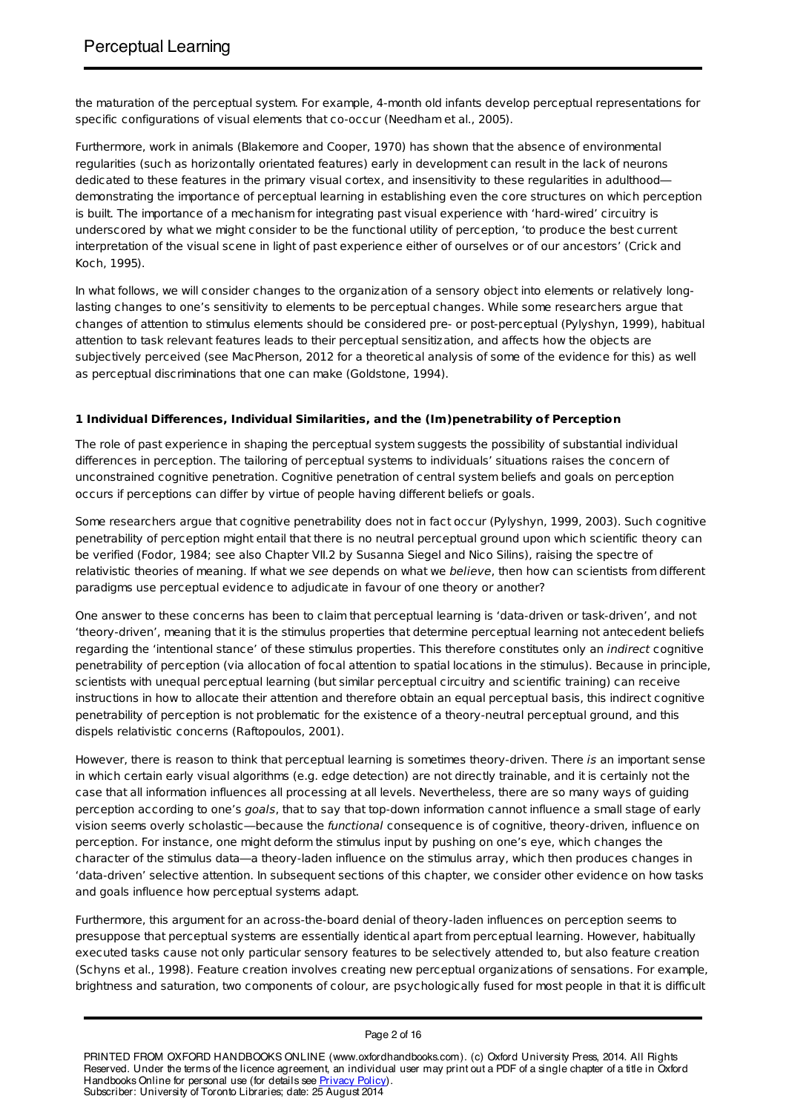the maturation of the perceptual system. For example, 4-month old infants develop perceptual representations for specific configurations of visual elements that co-occur (Needham et al., 2005).

Furthermore, work in animals (Blakemore and Cooper, 1970) has shown that the absence of environmental regularities (such as horizontally orientated features) early in development can result in the lack of neurons dedicated to these features in the primary visual cortex, and insensitivity to these regularities in adulthood demonstrating the importance of perceptual learning in establishing even the core structures on which perception is built. The importance of a mechanism for integrating past visual experience with 'hard-wired' circuitry is underscored by what we might consider to be the functional utility of perception, 'to produce the best current interpretation of the visual scene in light of past experience either of ourselves or of our ancestors' (Crick and Koch, 1995).

In what follows, we will consider changes to the organization of a sensory object into elements or relatively longlasting changes to one's sensitivity to elements to be perceptual changes. While some researchers argue that changes of attention to stimulus elements should be considered pre- or post-perceptual (Pylyshyn, 1999), habitual attention to task relevant features leads to their perceptual sensitization, and affects how the objects are subjectively perceived (see MacPherson, 2012 for a theoretical analysis of some of the evidence for this) as well as perceptual discriminations that one can make (Goldstone, 1994).

#### **1 Individual Differences, Individual Similarities, and the (Im)penetrability of Perception**

The role of past experience in shaping the perceptual system suggests the possibility of substantial individual differences in perception. The tailoring of perceptual systems to individuals' situations raises the concern of unconstrained cognitive penetration. Cognitive penetration of central system beliefs and goals on perception occurs if perceptions can differ by virtue of people having different beliefs or goals.

Some researchers argue that cognitive penetrability does not in fact occur (Pylyshyn, 1999, 2003). Such cognitive penetrability of perception might entail that there is no neutral perceptual ground upon which scientific theory can be verified (Fodor, 1984; see also Chapter VII.2 by Susanna Siegel and Nico Silins), raising the spectre of relativistic theories of meaning. If what we see depends on what we believe, then how can scientists from different paradigms use perceptual evidence to adjudicate in favour of one theory or another?

One answer to these concerns has been to claim that perceptual learning is 'data-driven or task-driven', and not 'theory-driven', meaning that it is the stimulus properties that determine perceptual learning not antecedent beliefs regarding the 'intentional stance' of these stimulus properties. This therefore constitutes only an *indirect* cognitive penetrability of perception (via allocation of focal attention to spatial locations in the stimulus). Because in principle, scientists with unequal perceptual learning (but similar perceptual circuitry and scientific training) can receive instructions in how to allocate their attention and therefore obtain an equal perceptual basis, this indirect cognitive penetrability of perception is not problematic for the existence of a theory-neutral perceptual ground, and this dispels relativistic concerns (Raftopoulos, 2001).

However, there is reason to think that perceptual learning is sometimes theory-driven. There is an important sense in which certain early visual algorithms (e.g. edge detection) are not directly trainable, and it is certainly not the case that all information influences all processing at all levels. Nevertheless, there are so many ways of guiding perception according to one's goals, that to say that top-down information cannot influence a small stage of early vision seems overly scholastic—because the functional consequence is of cognitive, theory-driven, influence on perception. For instance, one might deform the stimulus input by pushing on one's eye, which changes the character of the stimulus data—a theory-laden influence on the stimulus array, which then produces changes in 'data-driven' selective attention. In subsequent sections of this chapter, we consider other evidence on how tasks and goals influence how perceptual systems adapt.

Furthermore, this argument for an across-the-board denial of theory-laden influences on perception seems to presuppose that perceptual systems are essentially identical apart from perceptual learning. However, habitually executed tasks cause not only particular sensory features to be selectively attended to, but also feature creation (Schyns et al., 1998). Feature creation involves creating new perceptual organizations of sensations. For example, brightness and saturation, two components of colour, are psychologically fused for most people in that it is difficult

#### Page 2 of 16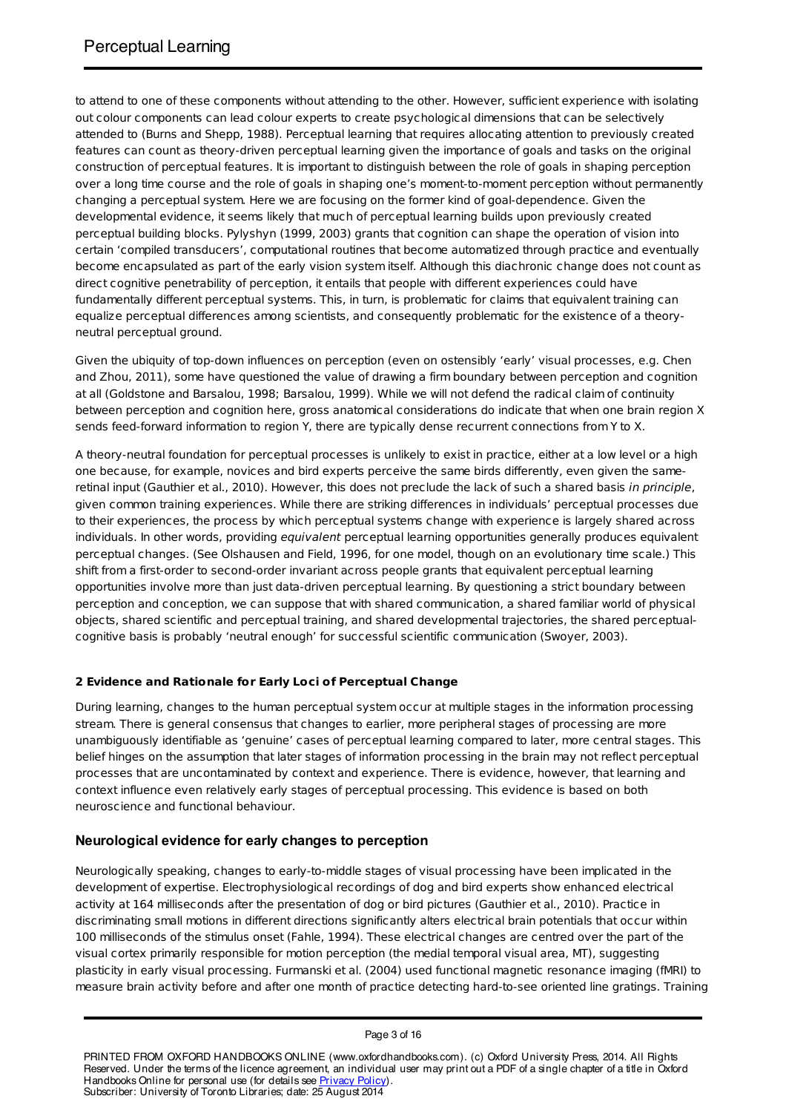to attend to one of these components without attending to the other. However, sufficient experience with isolating out colour components can lead colour experts to create psychological dimensions that can be selectively attended to (Burns and Shepp, 1988). Perceptual learning that requires allocating attention to previously created features can count as theory-driven perceptual learning given the importance of goals and tasks on the original construction of perceptual features. It is important to distinguish between the role of goals in shaping perception over a long time course and the role of goals in shaping one's moment-to-moment perception without permanently changing a perceptual system. Here we are focusing on the former kind of goal-dependence. Given the developmental evidence, it seems likely that much of perceptual learning builds upon previously created perceptual building blocks. Pylyshyn (1999, 2003) grants that cognition can shape the operation of vision into certain 'compiled transducers', computational routines that become automatized through practice and eventually become encapsulated as part of the early vision system itself. Although this diachronic change does not count as direct cognitive penetrability of perception, it entails that people with different experiences could have fundamentally different perceptual systems. This, in turn, is problematic for claims that equivalent training can equalize perceptual differences among scientists, and consequently problematic for the existence of a theoryneutral perceptual ground.

Given the ubiquity of top-down influences on perception (even on ostensibly 'early' visual processes, e.g. Chen and Zhou, 2011), some have questioned the value of drawing a firm boundary between perception and cognition at all (Goldstone and Barsalou, 1998; Barsalou, 1999). While we will not defend the radical claim of continuity between perception and cognition here, gross anatomical considerations do indicate that when one brain region X sends feed-forward information to region Y, there are typically dense recurrent connections from Y to X.

A theory-neutral foundation for perceptual processes is unlikely to exist in practice, either at a low level or a high one because, for example, novices and bird experts perceive the same birds differently, even given the sameretinal input (Gauthier et al., 2010). However, this does not preclude the lack of such a shared basis in principle, given common training experiences. While there are striking differences in individuals' perceptual processes due to their experiences, the process by which perceptual systems change with experience is largely shared across individuals. In other words, providing equivalent perceptual learning opportunities generally produces equivalent perceptual changes. (See Olshausen and Field, 1996, for one model, though on an evolutionary time scale.) This shift from a first-order to second-order invariant across people grants that equivalent perceptual learning opportunities involve more than just data-driven perceptual learning. By questioning a strict boundary between perception and conception, we can suppose that with shared communication, a shared familiar world of physical objects, shared scientific and perceptual training, and shared developmental trajectories, the shared perceptualcognitive basis is probably 'neutral enough' for successful scientific communication (Swoyer, 2003).

### **2 Evidence and Rationale for Early Loci of Perceptual Change**

During learning, changes to the human perceptual system occur at multiple stages in the information processing stream. There is general consensus that changes to earlier, more peripheral stages of processing are more unambiguously identifiable as 'genuine' cases of perceptual learning compared to later, more central stages. This belief hinges on the assumption that later stages of information processing in the brain may not reflect perceptual processes that are uncontaminated by context and experience. There is evidence, however, that learning and context influence even relatively early stages of perceptual processing. This evidence is based on both neuroscience and functional behaviour.

### **Neurological evidence for early changes to perception**

Neurologically speaking, changes to early-to-middle stages of visual processing have been implicated in the development of expertise. Electrophysiological recordings of dog and bird experts show enhanced electrical activity at 164 milliseconds after the presentation of dog or bird pictures (Gauthier et al., 2010). Practice in discriminating small motions in different directions significantly alters electrical brain potentials that occur within 100 milliseconds of the stimulus onset (Fahle, 1994). These electrical changes are centred over the part of the visual cortex primarily responsible for motion perception (the medial temporal visual area, MT), suggesting plasticity in early visual processing. Furmanski et al. (2004) used functional magnetic resonance imaging (fMRI) to measure brain activity before and after one month of practice detecting hard-to-see oriented line gratings. Training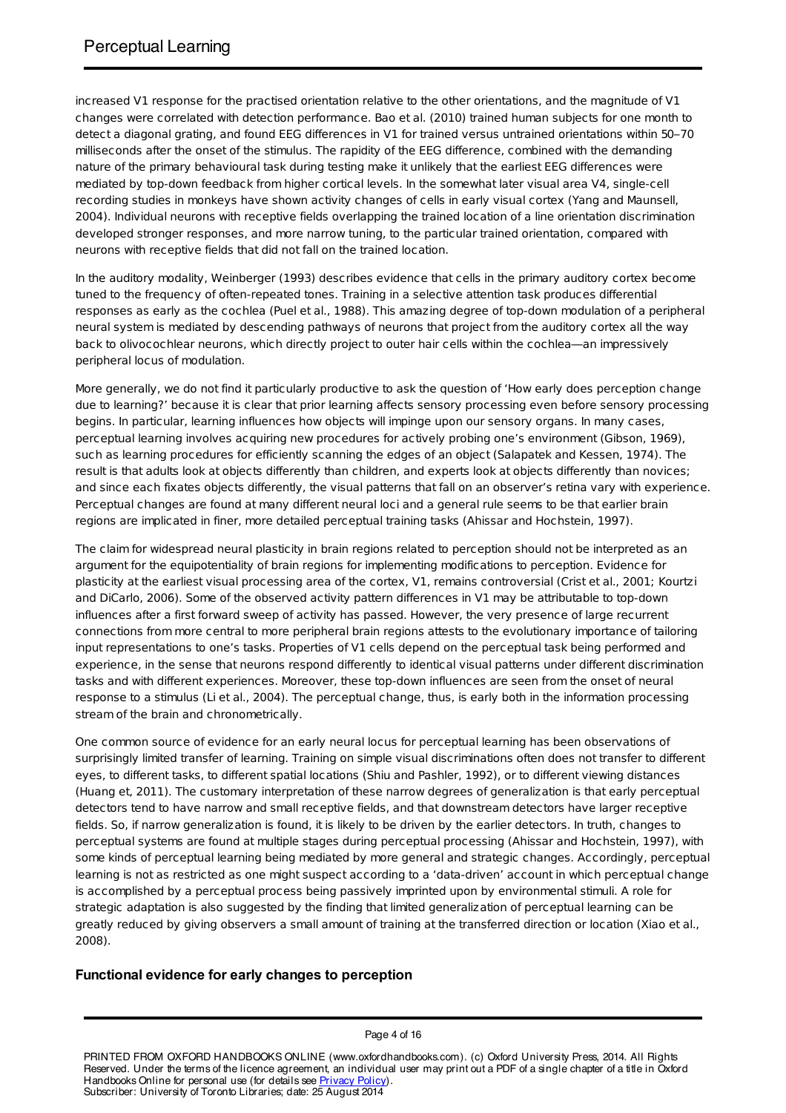increased V1 response for the practised orientation relative to the other orientations, and the magnitude of V1 changes were correlated with detection performance. Bao et al. (2010) trained human subjects for one month to detect a diagonal grating, and found EEG differences in V1 for trained versus untrained orientations within 50–70 milliseconds after the onset of the stimulus. The rapidity of the EEG difference, combined with the demanding nature of the primary behavioural task during testing make it unlikely that the earliest EEG differences were mediated by top-down feedback from higher cortical levels. In the somewhat later visual area V4, single-cell recording studies in monkeys have shown activity changes of cells in early visual cortex (Yang and Maunsell, 2004). Individual neurons with receptive fields overlapping the trained location of a line orientation discrimination developed stronger responses, and more narrow tuning, to the particular trained orientation, compared with neurons with receptive fields that did not fall on the trained location.

In the auditory modality, Weinberger (1993) describes evidence that cells in the primary auditory cortex become tuned to the frequency of often-repeated tones. Training in a selective attention task produces differential responses as early as the cochlea (Puel et al., 1988). This amazing degree of top-down modulation of a peripheral neural system is mediated by descending pathways of neurons that project from the auditory cortex all the way back to olivocochlear neurons, which directly project to outer hair cells within the cochlea—an impressively peripheral locus of modulation.

More generally, we do not find it particularly productive to ask the question of 'How early does perception change due to learning?' because it is clear that prior learning affects sensory processing even before sensory processing begins. In particular, learning influences how objects will impinge upon our sensory organs. In many cases, perceptual learning involves acquiring new procedures for actively probing one's environment (Gibson, 1969), such as learning procedures for efficiently scanning the edges of an object (Salapatek and Kessen, 1974). The result is that adults look at objects differently than children, and experts look at objects differently than novices; and since each fixates objects differently, the visual patterns that fall on an observer's retina vary with experience. Perceptual changes are found at many different neural loci and a general rule seems to be that earlier brain regions are implicated in finer, more detailed perceptual training tasks (Ahissar and Hochstein, 1997).

The claim for widespread neural plasticity in brain regions related to perception should not be interpreted as an argument for the equipotentiality of brain regions for implementing modifications to perception. Evidence for plasticity at the earliest visual processing area of the cortex, V1, remains controversial (Crist et al., 2001; Kourtzi and DiCarlo, 2006). Some of the observed activity pattern differences in V1 may be attributable to top-down influences after a first forward sweep of activity has passed. However, the very presence of large recurrent connections from more central to more peripheral brain regions attests to the evolutionary importance of tailoring input representations to one's tasks. Properties of V1 cells depend on the perceptual task being performed and experience, in the sense that neurons respond differently to identical visual patterns under different discrimination tasks and with different experiences. Moreover, these top-down influences are seen from the onset of neural response to a stimulus (Li et al., 2004). The perceptual change, thus, is early both in the information processing stream of the brain and chronometrically.

One common source of evidence for an early neural locus for perceptual learning has been observations of surprisingly limited transfer of learning. Training on simple visual discriminations often does not transfer to different eyes, to different tasks, to different spatial locations (Shiu and Pashler, 1992), or to different viewing distances (Huang et, 2011). The customary interpretation of these narrow degrees of generalization is that early perceptual detectors tend to have narrow and small receptive fields, and that downstream detectors have larger receptive fields. So, if narrow generalization is found, it is likely to be driven by the earlier detectors. In truth, changes to perceptual systems are found at multiple stages during perceptual processing (Ahissar and Hochstein, 1997), with some kinds of perceptual learning being mediated by more general and strategic changes. Accordingly, perceptual learning is not as restricted as one might suspect according to a 'data-driven' account in which perceptual change is accomplished by a perceptual process being passively imprinted upon by environmental stimuli. A role for strategic adaptation is also suggested by the finding that limited generalization of perceptual learning can be greatly reduced by giving observers a small amount of training at the transferred direction or location (Xiao et al., 2008).

### **Functional evidence for early changes to perception**

PRINTED FROM OXFORD HANDBOOKS ONLINE (www.oxfordhandbooks.com). (c) Oxford University Press, 2014. All Rights Reserved. Under the terms of the licence agreement, an individual user may print out a PDF of a single chapter of a title in Oxford Handbooks Online for personal use (for details see **Privacy Policy**). Subscriber: University of Toronto Libraries; date: 25 August 2014

Page 4 of 16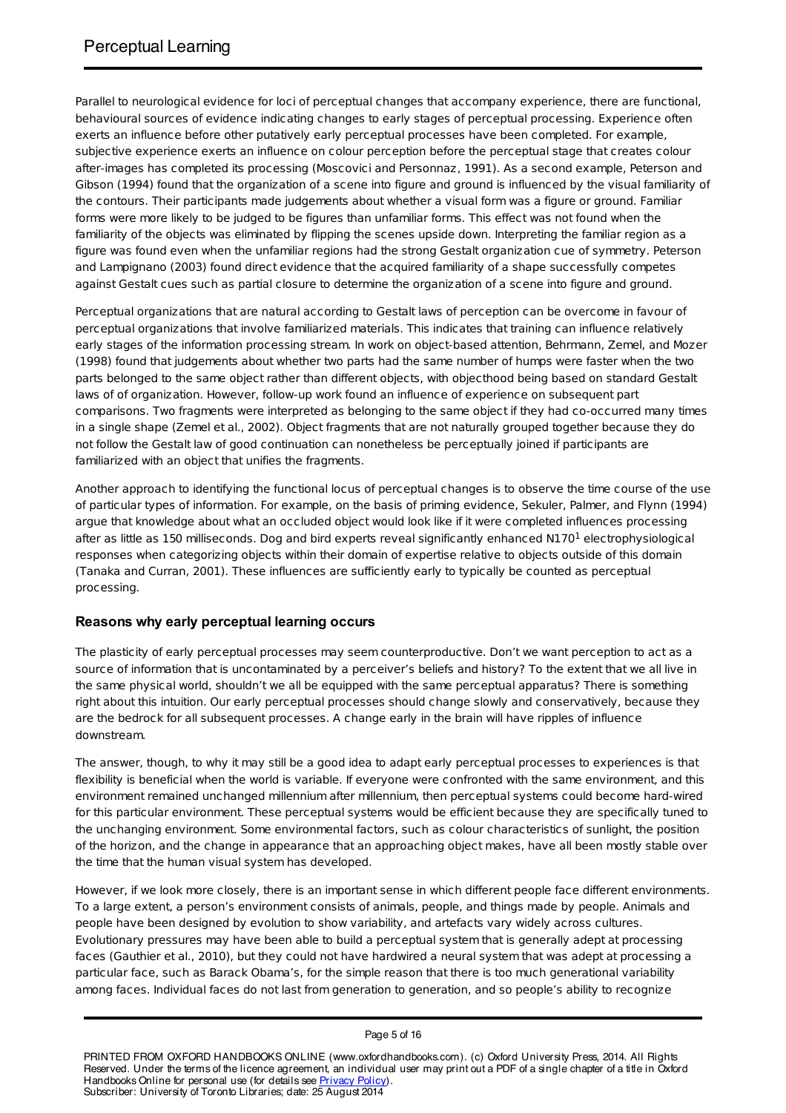Parallel to neurological evidence for loci of perceptual changes that accompany experience, there are functional, behavioural sources of evidence indicating changes to early stages of perceptual processing. Experience often exerts an influence before other putatively early perceptual processes have been completed. For example, subjective experience exerts an influence on colour perception before the perceptual stage that creates colour after-images has completed its processing (Moscovici and Personnaz, 1991). As a second example, Peterson and Gibson (1994) found that the organization of a scene into figure and ground is influenced by the visual familiarity of the contours. Their participants made judgements about whether a visual form was a figure or ground. Familiar forms were more likely to be judged to be figures than unfamiliar forms. This effect was not found when the familiarity of the objects was eliminated by flipping the scenes upside down. Interpreting the familiar region as a figure was found even when the unfamiliar regions had the strong Gestalt organization cue of symmetry. Peterson and Lampignano (2003) found direct evidence that the acquired familiarity of a shape successfully competes against Gestalt cues such as partial closure to determine the organization of a scene into figure and ground.

Perceptual organizations that are natural according to Gestalt laws of perception can be overcome in favour of perceptual organizations that involve familiarized materials. This indicates that training can influence relatively early stages of the information processing stream. In work on object-based attention, Behrmann, Zemel, and Mozer (1998) found that judgements about whether two parts had the same number of humps were faster when the two parts belonged to the same object rather than different objects, with objecthood being based on standard Gestalt laws of of organization. However, follow-up work found an influence of experience on subsequent part comparisons. Two fragments were interpreted as belonging to the same object if they had co-occurred many times in a single shape (Zemel et al., 2002). Object fragments that are not naturally grouped together because they do not follow the Gestalt law of good continuation can nonetheless be perceptually joined if participants are familiarized with an object that unifies the fragments.

Another approach to identifying the functional locus of perceptual changes is to observe the time course of the use of particular types of information. For example, on the basis of priming evidence, Sekuler, Palmer, and Flynn (1994) argue that knowledge about what an occluded object would look like if it were completed influences processing after as little as 150 milliseconds. Dog and bird experts reveal significantly enhanced N170<sup>1</sup> electrophysiological responses when categorizing objects within their domain of expertise relative to objects outside of this domain (Tanaka and Curran, 2001). These influences are sufficiently early to typically be counted as perceptual processing.

### **Reasons why early perceptual learning occurs**

The plasticity of early perceptual processes may seem counterproductive. Don't we want perception to act as a source of information that is uncontaminated by a perceiver's beliefs and history? To the extent that we all live in the same physical world, shouldn't we all be equipped with the same perceptual apparatus? There is something right about this intuition. Our early perceptual processes should change slowly and conservatively, because they are the bedrock for all subsequent processes. A change early in the brain will have ripples of influence downstream.

The answer, though, to why it may still be a good idea to adapt early perceptual processes to experiences is that flexibility is beneficial when the world is variable. If everyone were confronted with the same environment, and this environment remained unchanged millennium after millennium, then perceptual systems could become hard-wired for this particular environment. These perceptual systems would be efficient because they are specifically tuned to the unchanging environment. Some environmental factors, such as colour characteristics of sunlight, the position of the horizon, and the change in appearance that an approaching object makes, have all been mostly stable over the time that the human visual system has developed.

However, if we look more closely, there is an important sense in which different people face different environments. To a large extent, a person's environment consists of animals, people, and things made by people. Animals and people have been designed by evolution to show variability, and artefacts vary widely across cultures. Evolutionary pressures may have been able to build a perceptual system that is generally adept at processing faces (Gauthier et al., 2010), but they could not have hardwired a neural system that was adept at processing a particular face, such as Barack Obama's, for the simple reason that there is too much generational variability among faces. Individual faces do not last from generation to generation, and so people's ability to recognize

#### Page 5 of 16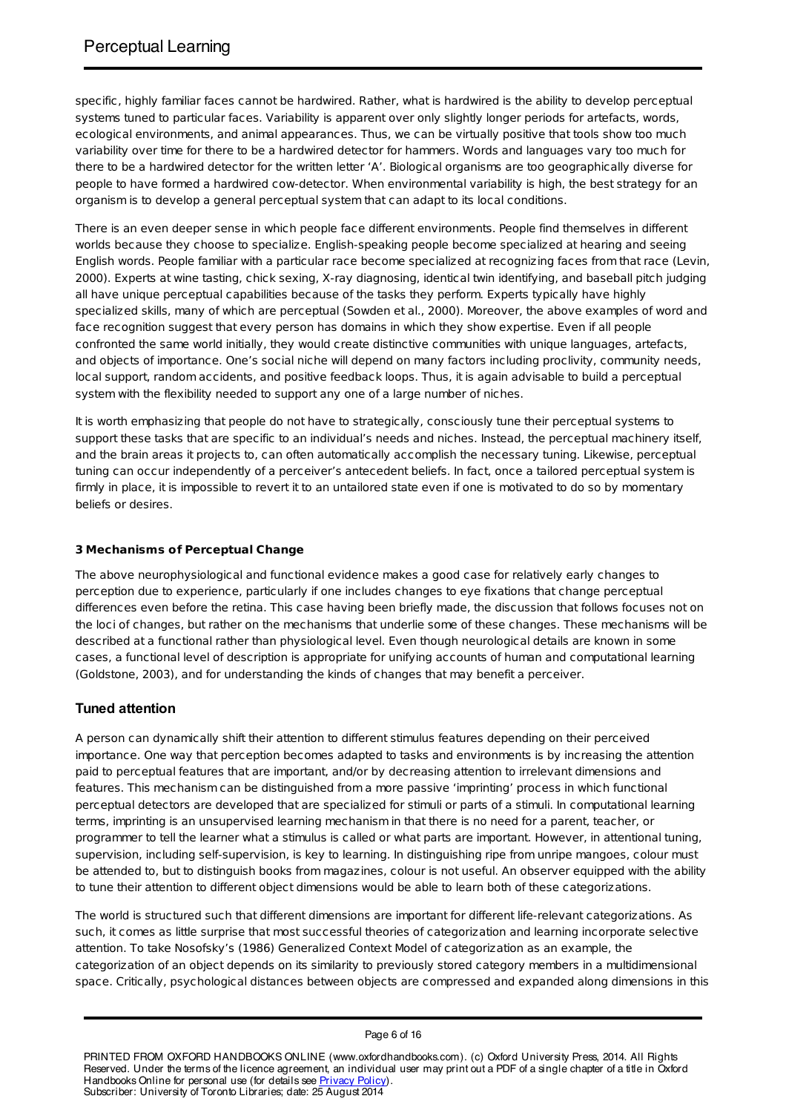specific, highly familiar faces cannot be hardwired. Rather, what is hardwired is the ability to develop perceptual systems tuned to particular faces. Variability is apparent over only slightly longer periods for artefacts, words, ecological environments, and animal appearances. Thus, we can be virtually positive that tools show too much variability over time for there to be a hardwired detector for hammers. Words and languages vary too much for there to be a hardwired detector for the written letter 'A'. Biological organisms are too geographically diverse for people to have formed a hardwired cow-detector. When environmental variability is high, the best strategy for an organism is to develop a general perceptual system that can adapt to its local conditions.

There is an even deeper sense in which people face different environments. People find themselves in different worlds because they choose to specialize. English-speaking people become specialized at hearing and seeing English words. People familiar with a particular race become specialized at recognizing faces from that race (Levin, 2000). Experts at wine tasting, chick sexing, X-ray diagnosing, identical twin identifying, and baseball pitch judging all have unique perceptual capabilities because of the tasks they perform. Experts typically have highly specialized skills, many of which are perceptual (Sowden et al., 2000). Moreover, the above examples of word and face recognition suggest that every person has domains in which they show expertise. Even if all people confronted the same world initially, they would create distinctive communities with unique languages, artefacts, and objects of importance. One's social niche will depend on many factors including proclivity, community needs, local support, random accidents, and positive feedback loops. Thus, it is again advisable to build a perceptual system with the flexibility needed to support any one of a large number of niches.

It is worth emphasizing that people do not have to strategically, consciously tune their perceptual systems to support these tasks that are specific to an individual's needs and niches. Instead, the perceptual machinery itself, and the brain areas it projects to, can often automatically accomplish the necessary tuning. Likewise, perceptual tuning can occur independently of a perceiver's antecedent beliefs. In fact, once a tailored perceptual system is firmly in place, it is impossible to revert it to an untailored state even if one is motivated to do so by momentary beliefs or desires.

### **3 Mechanisms of Perceptual Change**

The above neurophysiological and functional evidence makes a good case for relatively early changes to perception due to experience, particularly if one includes changes to eye fixations that change perceptual differences even before the retina. This case having been briefly made, the discussion that follows focuses not on the loci of changes, but rather on the mechanisms that underlie some of these changes. These mechanisms will be described at a functional rather than physiological level. Even though neurological details are known in some cases, a functional level of description is appropriate for unifying accounts of human and computational learning (Goldstone, 2003), and for understanding the kinds of changes that may benefit a perceiver.

### **Tuned attention**

A person can dynamically shift their attention to different stimulus features depending on their perceived importance. One way that perception becomes adapted to tasks and environments is by increasing the attention paid to perceptual features that are important, and/or by decreasing attention to irrelevant dimensions and features. This mechanism can be distinguished from a more passive 'imprinting' process in which functional perceptual detectors are developed that are specialized for stimuli or parts of a stimuli. In computational learning terms, imprinting is an unsupervised learning mechanism in that there is no need for a parent, teacher, or programmer to tell the learner what a stimulus is called or what parts are important. However, in attentional tuning, supervision, including self-supervision, is key to learning. In distinguishing ripe from unripe mangoes, colour must be attended to, but to distinguish books from magazines, colour is not useful. An observer equipped with the ability to tune their attention to different object dimensions would be able to learn both of these categorizations.

The world is structured such that different dimensions are important for different life-relevant categorizations. As such, it comes as little surprise that most successful theories of categorization and learning incorporate selective attention. To take Nosofsky's (1986) Generalized Context Model of categorization as an example, the categorization of an object depends on its similarity to previously stored category members in a multidimensional space. Critically, psychological distances between objects are compressed and expanded along dimensions in this

#### Page 6 of 16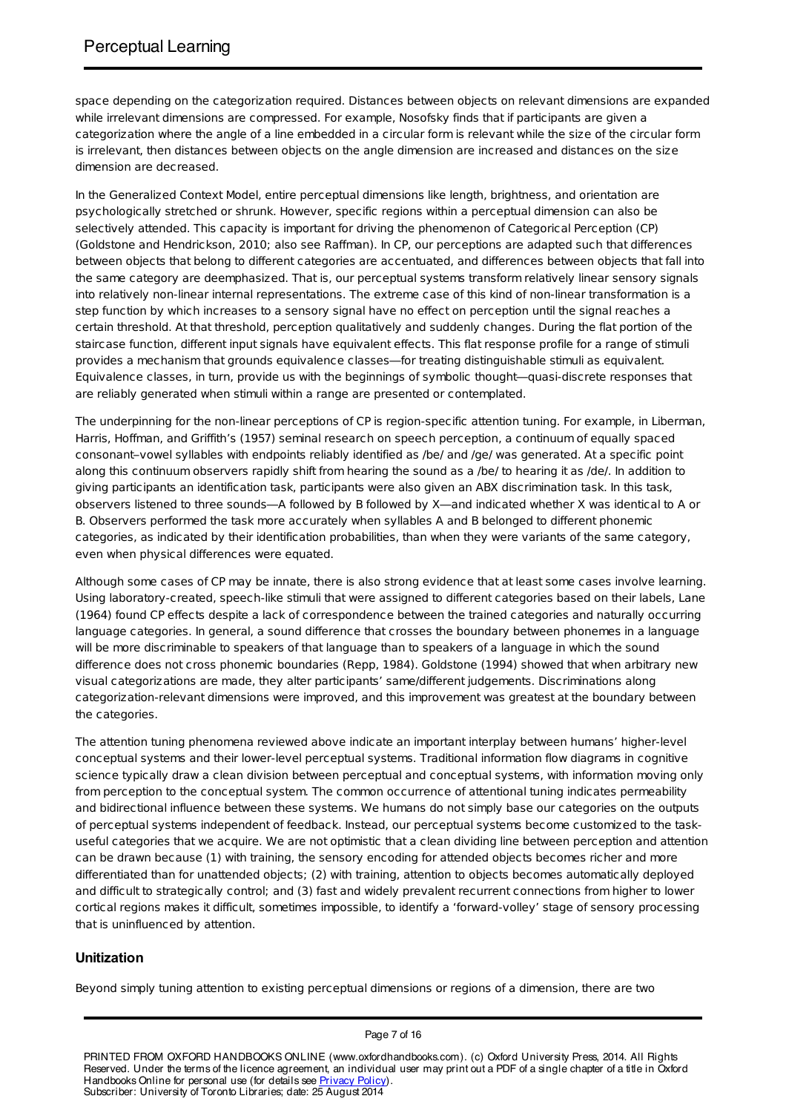space depending on the categorization required. Distances between objects on relevant dimensions are expanded while irrelevant dimensions are compressed. For example, Nosofsky finds that if participants are given a categorization where the angle of a line embedded in a circular form is relevant while the size of the circular form is irrelevant, then distances between objects on the angle dimension are increased and distances on the size dimension are decreased.

In the Generalized Context Model, entire perceptual dimensions like length, brightness, and orientation are psychologically stretched or shrunk. However, specific regions within a perceptual dimension can also be selectively attended. This capacity is important for driving the phenomenon of Categorical Perception (CP) (Goldstone and Hendrickson, 2010; also see Raffman). In CP, our perceptions are adapted such that differences between objects that belong to different categories are accentuated, and differences between objects that fall into the same category are deemphasized. That is, our perceptual systems transform relatively linear sensory signals into relatively non-linear internal representations. The extreme case of this kind of non-linear transformation is a step function by which increases to a sensory signal have no effect on perception until the signal reaches a certain threshold. At that threshold, perception qualitatively and suddenly changes. During the flat portion of the staircase function, different input signals have equivalent effects. This flat response profile for a range of stimuli provides a mechanism that grounds equivalence classes—for treating distinguishable stimuli as equivalent. Equivalence classes, in turn, provide us with the beginnings of symbolic thought—quasi-discrete responses that are reliably generated when stimuli within a range are presented or contemplated.

The underpinning for the non-linear perceptions of CP is region-specific attention tuning. For example, in Liberman, Harris, Hoffman, and Griffith's (1957) seminal research on speech perception, a continuum of equally spaced consonant–vowel syllables with endpoints reliably identified as /be/ and /ge/ was generated. At a specific point along this continuum observers rapidly shift from hearing the sound as a /be/ to hearing it as /de/. In addition to giving participants an identification task, participants were also given an ABX discrimination task. In this task, observers listened to three sounds—A followed by B followed by X—and indicated whether X was identical to A or B. Observers performed the task more accurately when syllables A and B belonged to different phonemic categories, as indicated by their identification probabilities, than when they were variants of the same category, even when physical differences were equated.

Although some cases of CP may be innate, there is also strong evidence that at least some cases involve learning. Using laboratory-created, speech-like stimuli that were assigned to different categories based on their labels, Lane (1964) found CP effects despite a lack of correspondence between the trained categories and naturally occurring language categories. In general, a sound difference that crosses the boundary between phonemes in a language will be more discriminable to speakers of that language than to speakers of a language in which the sound difference does not cross phonemic boundaries (Repp, 1984). Goldstone (1994) showed that when arbitrary new visual categorizations are made, they alter participants' same/different judgements. Discriminations along categorization-relevant dimensions were improved, and this improvement was greatest at the boundary between the categories.

The attention tuning phenomena reviewed above indicate an important interplay between humans' higher-level conceptual systems and their lower-level perceptual systems. Traditional information flow diagrams in cognitive science typically draw a clean division between perceptual and conceptual systems, with information moving only from perception to the conceptual system. The common occurrence of attentional tuning indicates permeability and bidirectional influence between these systems. We humans do not simply base our categories on the outputs of perceptual systems independent of feedback. Instead, our perceptual systems become customized to the taskuseful categories that we acquire. We are not optimistic that a clean dividing line between perception and attention can be drawn because (1) with training, the sensory encoding for attended objects becomes richer and more differentiated than for unattended objects; (2) with training, attention to objects becomes automatically deployed and difficult to strategically control; and (3) fast and widely prevalent recurrent connections from higher to lower cortical regions makes it difficult, sometimes impossible, to identify a 'forward-volley' stage of sensory processing that is uninfluenced by attention.

### **Unitization**

Beyond simply tuning attention to existing perceptual dimensions or regions of a dimension, there are two

PRINTED FROM OXFORD HANDBOOKS ONLINE (www.oxfordhandbooks.com). (c) Oxford University Press, 2014. All Rights Reserved. Under the terms of the licence agreement, an individual user may print out a PDF of a single chapter of a title in Oxford Handbooks Online for personal use (for details see **Privacy Policy**). Subscriber: University of Toronto Libraries; date: 25 August 2014

Page 7 of 16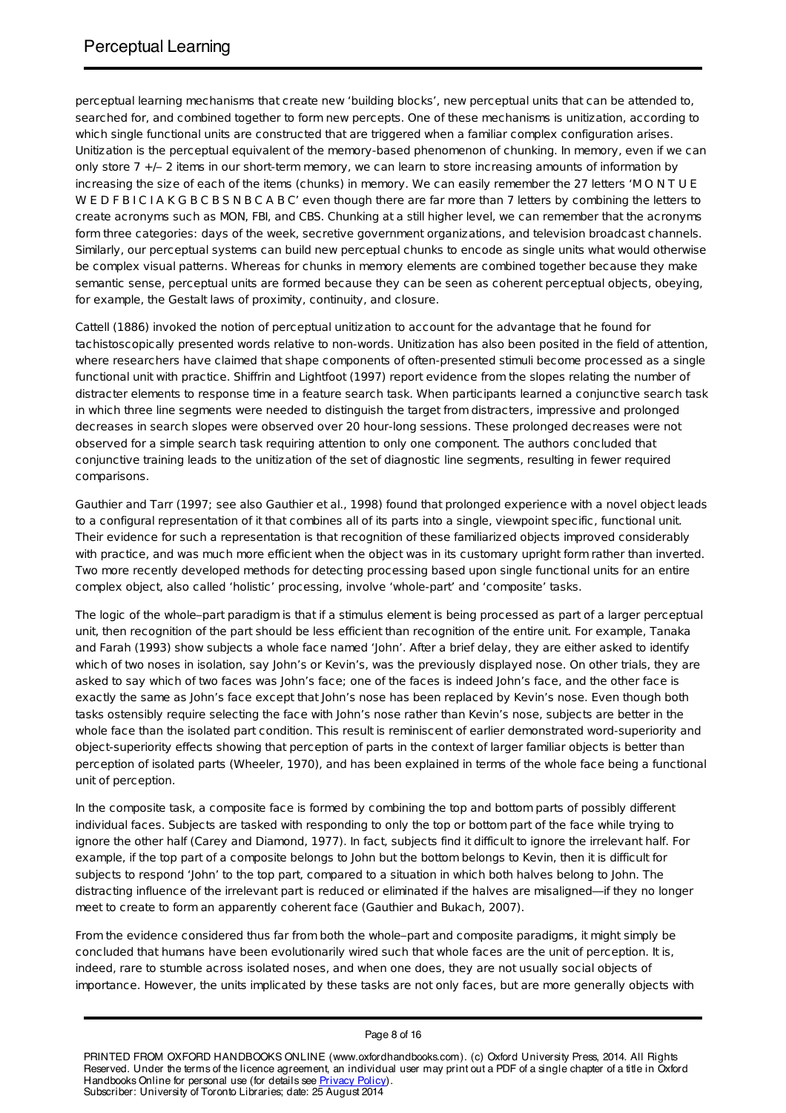perceptual learning mechanisms that create new 'building blocks', new perceptual units that can be attended to, searched for, and combined together to form new percepts. One of these mechanisms is unitization, according to which single functional units are constructed that are triggered when a familiar complex configuration arises. Unitization is the perceptual equivalent of the memory-based phenomenon of chunking. In memory, even if we can only store 7 +/– 2 items in our short-term memory, we can learn to store increasing amounts of information by increasing the size of each of the items (chunks) in memory. We can easily remember the 27 letters 'M O N T U E W E D F B I C I A K G B C B S N B C A B C' even though there are far more than 7 letters by combining the letters to create acronyms such as MON, FBI, and CBS. Chunking at a still higher level, we can remember that the acronyms form three categories: days of the week, secretive government organizations, and television broadcast channels. Similarly, our perceptual systems can build new perceptual chunks to encode as single units what would otherwise be complex visual patterns. Whereas for chunks in memory elements are combined together because they make semantic sense, perceptual units are formed because they can be seen as coherent perceptual objects, obeying, for example, the Gestalt laws of proximity, continuity, and closure.

Cattell (1886) invoked the notion of perceptual unitization to account for the advantage that he found for tachistoscopically presented words relative to non-words. Unitization has also been posited in the field of attention, where researchers have claimed that shape components of often-presented stimuli become processed as a single functional unit with practice. Shiffrin and Lightfoot (1997) report evidence from the slopes relating the number of distracter elements to response time in a feature search task. When participants learned a conjunctive search task in which three line segments were needed to distinguish the target from distracters, impressive and prolonged decreases in search slopes were observed over 20 hour-long sessions. These prolonged decreases were not observed for a simple search task requiring attention to only one component. The authors concluded that conjunctive training leads to the unitization of the set of diagnostic line segments, resulting in fewer required comparisons.

Gauthier and Tarr (1997; see also Gauthier et al., 1998) found that prolonged experience with a novel object leads to a configural representation of it that combines all of its parts into a single, viewpoint specific, functional unit. Their evidence for such a representation is that recognition of these familiarized objects improved considerably with practice, and was much more efficient when the object was in its customary upright form rather than inverted. Two more recently developed methods for detecting processing based upon single functional units for an entire complex object, also called 'holistic' processing, involve 'whole-part' and 'composite' tasks.

The logic of the whole–part paradigm is that if a stimulus element is being processed as part of a larger perceptual unit, then recognition of the part should be less efficient than recognition of the entire unit. For example, Tanaka and Farah (1993) show subjects a whole face named 'John'. After a brief delay, they are either asked to identify which of two noses in isolation, say John's or Kevin's, was the previously displayed nose. On other trials, they are asked to say which of two faces was John's face; one of the faces is indeed John's face, and the other face is exactly the same as John's face except that John's nose has been replaced by Kevin's nose. Even though both tasks ostensibly require selecting the face with John's nose rather than Kevin's nose, subjects are better in the whole face than the isolated part condition. This result is reminiscent of earlier demonstrated word-superiority and object-superiority effects showing that perception of parts in the context of larger familiar objects is better than perception of isolated parts (Wheeler, 1970), and has been explained in terms of the whole face being a functional unit of perception.

In the composite task, a composite face is formed by combining the top and bottom parts of possibly different individual faces. Subjects are tasked with responding to only the top or bottom part of the face while trying to ignore the other half (Carey and Diamond, 1977). In fact, subjects find it difficult to ignore the irrelevant half. For example, if the top part of a composite belongs to John but the bottom belongs to Kevin, then it is difficult for subjects to respond 'John' to the top part, compared to a situation in which both halves belong to John. The distracting influence of the irrelevant part is reduced or eliminated if the halves are misaligned—if they no longer meet to create to form an apparently coherent face (Gauthier and Bukach, 2007).

From the evidence considered thus far from both the whole–part and composite paradigms, it might simply be concluded that humans have been evolutionarily wired such that whole faces are the unit of perception. It is, indeed, rare to stumble across isolated noses, and when one does, they are not usually social objects of importance. However, the units implicated by these tasks are not only faces, but are more generally objects with

#### Page 8 of 16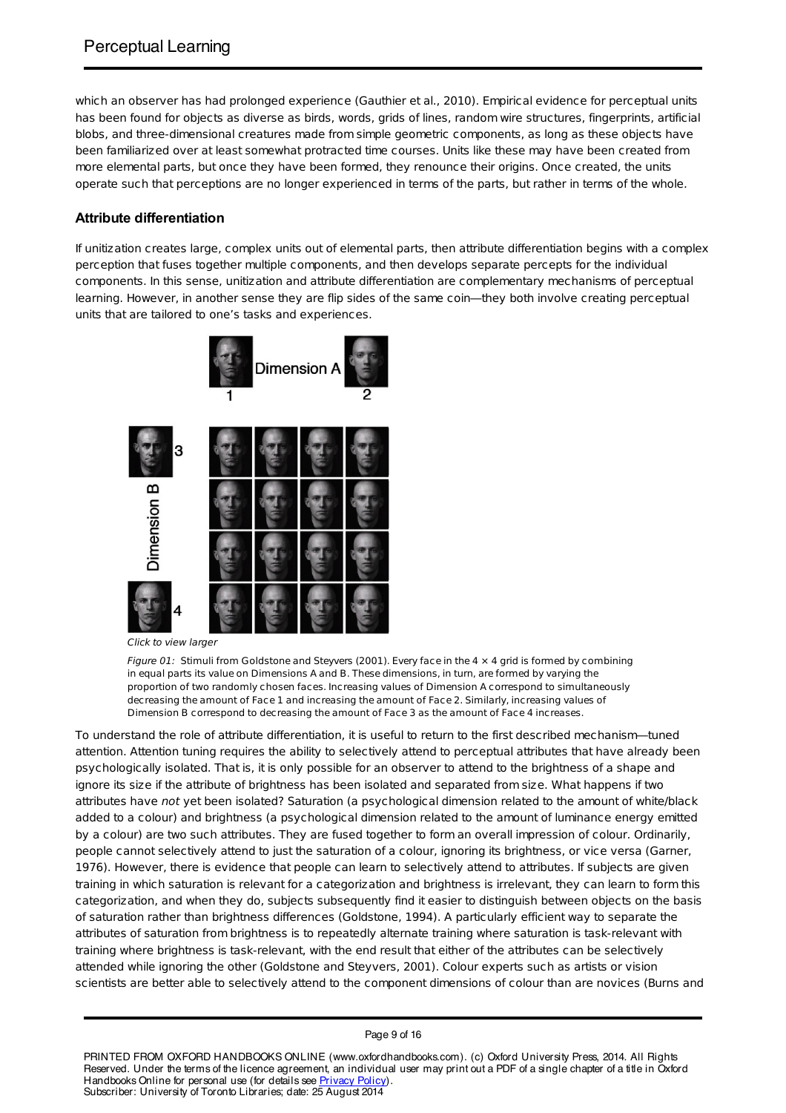which an observer has had prolonged experience (Gauthier et al., 2010). Empirical evidence for perceptual units has been found for objects as diverse as birds, words, grids of lines, random wire structures, fingerprints, artificial blobs, and three-dimensional creatures made from simple geometric components, as long as these objects have been familiarized over at least somewhat protracted time courses. Units like these may have been created from more elemental parts, but once they have been formed, they renounce their origins. Once created, the units operate such that perceptions are no longer experienced in terms of the parts, but rather in terms of the whole.

### **Attribute differentiation**

If unitization creates large, complex units out of elemental parts, then attribute differentiation begins with a complex perception that fuses together multiple components, and then develops separate percepts for the individual components. In this sense, unitization and attribute differentiation are complementary mechanisms of perceptual learning. However, in another sense they are flip sides of the same coin—they both involve creating perceptual units that are tailored to one's tasks and experiences.



Click to view larger

Figure 01: Stimuli from Goldstone and Stevvers (2001). Every face in the 4  $\times$  4 grid is formed by combining in equal parts its value on Dimensions A and B. These dimensions, in turn, are formed by varying the proportion of two randomly chosen faces. Increasing values of Dimension A correspond to simultaneously decreasing the amount of Face 1 and increasing the amount of Face 2. Similarly, increasing values of Dimension B correspond to decreasing the amount of Face 3 as the amount of Face 4 increases.

To understand the role of attribute differentiation, it is useful to return to the first described mechanism—tuned attention. Attention tuning requires the ability to selectively attend to perceptual attributes that have already been psychologically isolated. That is, it is only possible for an observer to attend to the brightness of a shape and ignore its size if the attribute of brightness has been isolated and separated from size. What happens if two attributes have not yet been isolated? Saturation (a psychological dimension related to the amount of white/black added to a colour) and brightness (a psychological dimension related to the amount of luminance energy emitted by a colour) are two such attributes. They are fused together to form an overall impression of colour. Ordinarily, people cannot selectively attend to just the saturation of a colour, ignoring its brightness, or vice versa (Garner, 1976). However, there is evidence that people can learn to selectively attend to attributes. If subjects are given training in which saturation is relevant for a categorization and brightness is irrelevant, they can learn to form this categorization, and when they do, subjects subsequently find it easier to distinguish between objects on the basis of saturation rather than brightness differences (Goldstone, 1994). A particularly efficient way to separate the attributes of saturation from brightness is to repeatedly alternate training where saturation is task-relevant with training where brightness is task-relevant, with the end result that either of the attributes can be selectively attended while ignoring the other (Goldstone and Steyvers, 2001). Colour experts such as artists or vision scientists are better able to selectively attend to the component dimensions of colour than are novices (Burns and

#### Page 9 of 16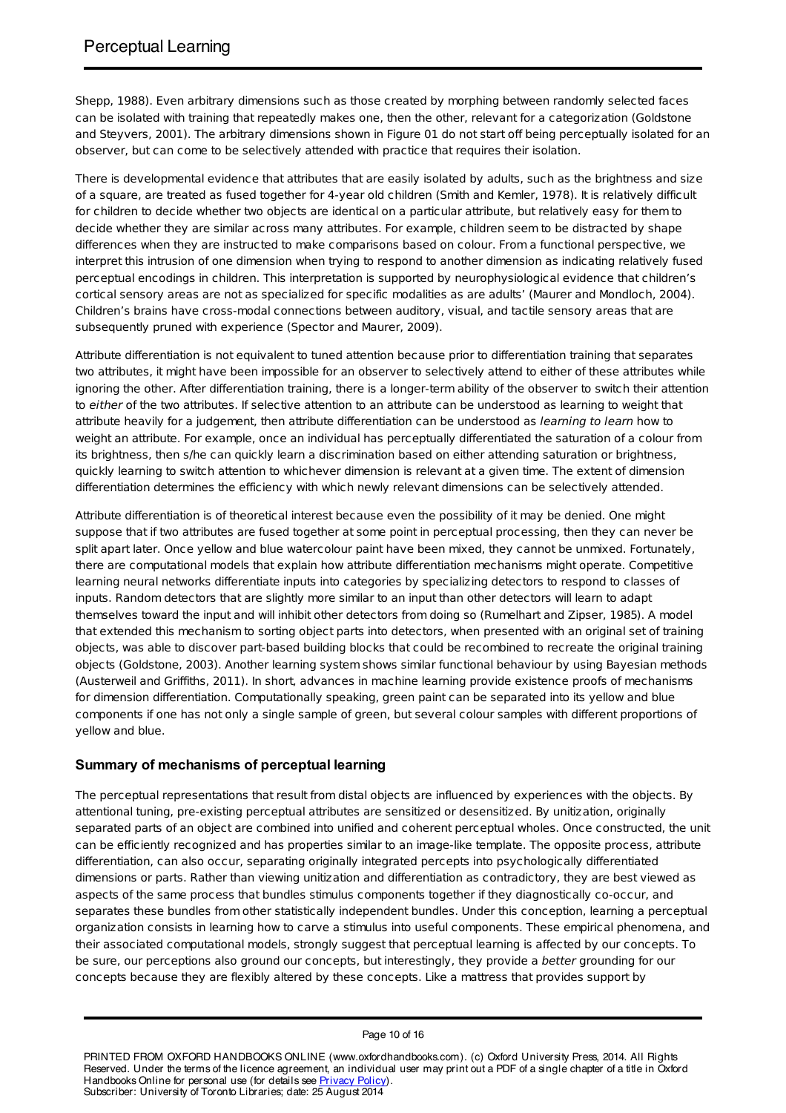Shepp, 1988). Even arbitrary dimensions such as those created by morphing between randomly selected faces can be isolated with training that repeatedly makes one, then the other, relevant for a categorization (Goldstone and Steyvers, 2001). The arbitrary dimensions shown in Figure 01 do not start off being perceptually isolated for an observer, but can come to be selectively attended with practice that requires their isolation.

There is developmental evidence that attributes that are easily isolated by adults, such as the brightness and size of a square, are treated as fused together for 4-year old children (Smith and Kemler, 1978). It is relatively difficult for children to decide whether two objects are identical on a particular attribute, but relatively easy for them to decide whether they are similar across many attributes. For example, children seem to be distracted by shape differences when they are instructed to make comparisons based on colour. From a functional perspective, we interpret this intrusion of one dimension when trying to respond to another dimension as indicating relatively fused perceptual encodings in children. This interpretation is supported by neurophysiological evidence that children's cortical sensory areas are not as specialized for specific modalities as are adults' (Maurer and Mondloch, 2004). Children's brains have cross-modal connections between auditory, visual, and tactile sensory areas that are subsequently pruned with experience (Spector and Maurer, 2009).

Attribute differentiation is not equivalent to tuned attention because prior to differentiation training that separates two attributes, it might have been impossible for an observer to selectively attend to either of these attributes while ignoring the other. After differentiation training, there is a longer-term ability of the observer to switch their attention to either of the two attributes. If selective attention to an attribute can be understood as learning to weight that attribute heavily for a judgement, then attribute differentiation can be understood as learning to learn how to weight an attribute. For example, once an individual has perceptually differentiated the saturation of a colour from its brightness, then s/he can quickly learn a discrimination based on either attending saturation or brightness, quickly learning to switch attention to whichever dimension is relevant at a given time. The extent of dimension differentiation determines the efficiency with which newly relevant dimensions can be selectively attended.

Attribute differentiation is of theoretical interest because even the possibility of it may be denied. One might suppose that if two attributes are fused together at some point in perceptual processing, then they can never be split apart later. Once yellow and blue watercolour paint have been mixed, they cannot be unmixed. Fortunately, there are computational models that explain how attribute differentiation mechanisms might operate. Competitive learning neural networks differentiate inputs into categories by specializing detectors to respond to classes of inputs. Random detectors that are slightly more similar to an input than other detectors will learn to adapt themselves toward the input and will inhibit other detectors from doing so (Rumelhart and Zipser, 1985). A model that extended this mechanism to sorting object parts into detectors, when presented with an original set of training objects, was able to discover part-based building blocks that could be recombined to recreate the original training objects (Goldstone, 2003). Another learning system shows similar functional behaviour by using Bayesian methods (Austerweil and Griffiths, 2011). In short, advances in machine learning provide existence proofs of mechanisms for dimension differentiation. Computationally speaking, green paint can be separated into its yellow and blue components if one has not only a single sample of green, but several colour samples with different proportions of yellow and blue.

### **Summary of mechanisms of perceptual learning**

The perceptual representations that result from distal objects are influenced by experiences with the objects. By attentional tuning, pre-existing perceptual attributes are sensitized or desensitized. By unitization, originally separated parts of an object are combined into unified and coherent perceptual wholes. Once constructed, the unit can be efficiently recognized and has properties similar to an image-like template. The opposite process, attribute differentiation, can also occur, separating originally integrated percepts into psychologically differentiated dimensions or parts. Rather than viewing unitization and differentiation as contradictory, they are best viewed as aspects of the same process that bundles stimulus components together if they diagnostically co-occur, and separates these bundles from other statistically independent bundles. Under this conception, learning a perceptual organization consists in learning how to carve a stimulus into useful components. These empirical phenomena, and their associated computational models, strongly suggest that perceptual learning is affected by our concepts. To be sure, our perceptions also ground our concepts, but interestingly, they provide a better grounding for our concepts because they are flexibly altered by these concepts. Like a mattress that provides support by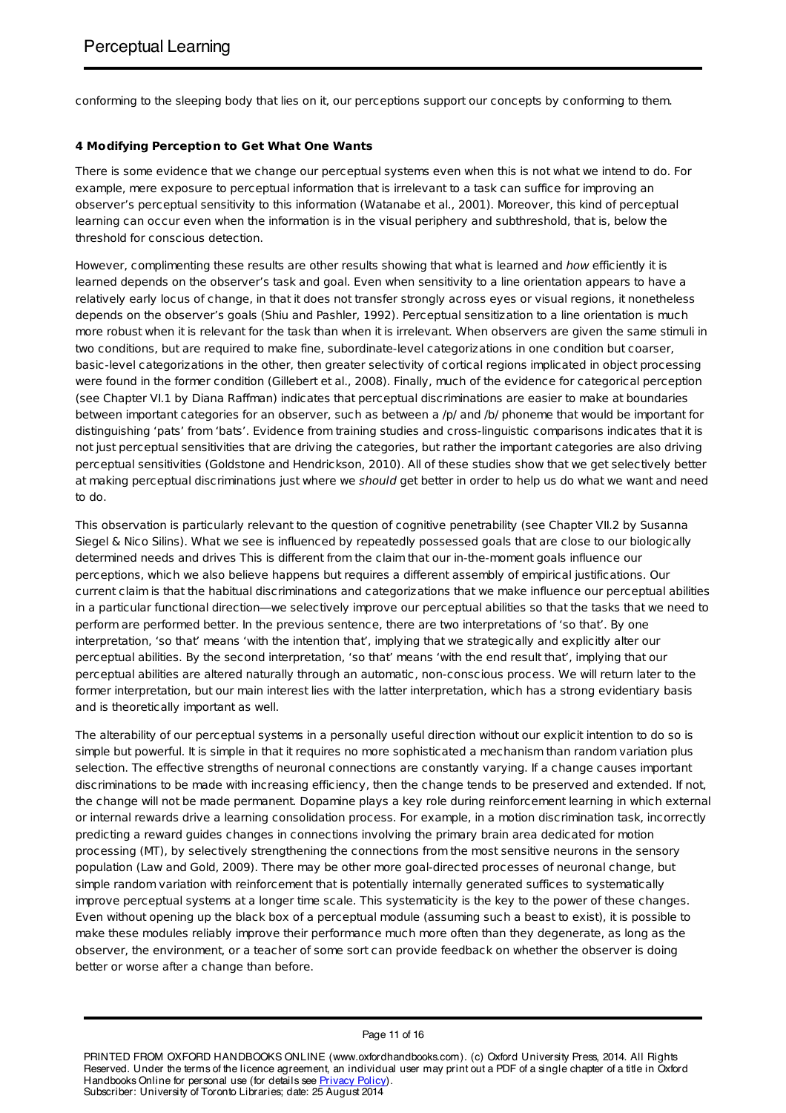conforming to the sleeping body that lies on it, our perceptions support our concepts by conforming to them.

#### **4 Modifying Perception to Get What One Wants**

There is some evidence that we change our perceptual systems even when this is not what we intend to do. For example, mere exposure to perceptual information that is irrelevant to a task can suffice for improving an observer's perceptual sensitivity to this information (Watanabe et al., 2001). Moreover, this kind of perceptual learning can occur even when the information is in the visual periphery and subthreshold, that is, below the threshold for conscious detection.

However, complimenting these results are other results showing that what is learned and how efficiently it is learned depends on the observer's task and goal. Even when sensitivity to a line orientation appears to have a relatively early locus of change, in that it does not transfer strongly across eyes or visual regions, it nonetheless depends on the observer's goals (Shiu and Pashler, 1992). Perceptual sensitization to a line orientation is much more robust when it is relevant for the task than when it is irrelevant. When observers are given the same stimuli in two conditions, but are required to make fine, subordinate-level categorizations in one condition but coarser, basic-level categorizations in the other, then greater selectivity of cortical regions implicated in object processing were found in the former condition (Gillebert et al., 2008). Finally, much of the evidence for categorical perception (see Chapter VI.1 by Diana Raffman) indicates that perceptual discriminations are easier to make at boundaries between important categories for an observer, such as between a /p/ and /b/ phoneme that would be important for distinguishing 'pats' from 'bats'. Evidence from training studies and cross-linguistic comparisons indicates that it is not just perceptual sensitivities that are driving the categories, but rather the important categories are also driving perceptual sensitivities (Goldstone and Hendrickson, 2010). All of these studies show that we get selectively better at making perceptual discriminations just where we should get better in order to help us do what we want and need to do.

This observation is particularly relevant to the question of cognitive penetrability (see Chapter VII.2 by Susanna Siegel & Nico Silins). What we see is influenced by repeatedly possessed goals that are close to our biologically determined needs and drives This is different from the claim that our in-the-moment goals influence our perceptions, which we also believe happens but requires a different assembly of empirical justifications. Our current claim is that the habitual discriminations and categorizations that we make influence our perceptual abilities in a particular functional direction—we selectively improve our perceptual abilities so that the tasks that we need to perform are performed better. In the previous sentence, there are two interpretations of 'so that'. By one interpretation, 'so that' means 'with the intention that', implying that we strategically and explicitly alter our perceptual abilities. By the second interpretation, 'so that' means 'with the end result that', implying that our perceptual abilities are altered naturally through an automatic, non-conscious process. We will return later to the former interpretation, but our main interest lies with the latter interpretation, which has a strong evidentiary basis and is theoretically important as well.

The alterability of our perceptual systems in a personally useful direction without our explicit intention to do so is simple but powerful. It is simple in that it requires no more sophisticated a mechanism than random variation plus selection. The effective strengths of neuronal connections are constantly varying. If a change causes important discriminations to be made with increasing efficiency, then the change tends to be preserved and extended. If not, the change will not be made permanent. Dopamine plays a key role during reinforcement learning in which external or internal rewards drive a learning consolidation process. For example, in a motion discrimination task, incorrectly predicting a reward guides changes in connections involving the primary brain area dedicated for motion processing (MT), by selectively strengthening the connections from the most sensitive neurons in the sensory population (Law and Gold, 2009). There may be other more goal-directed processes of neuronal change, but simple random variation with reinforcement that is potentially internally generated suffices to systematically improve perceptual systems at a longer time scale. This systematicity is the key to the power of these changes. Even without opening up the black box of a perceptual module (assuming such a beast to exist), it is possible to make these modules reliably improve their performance much more often than they degenerate, as long as the observer, the environment, or a teacher of some sort can provide feedback on whether the observer is doing better or worse after a change than before.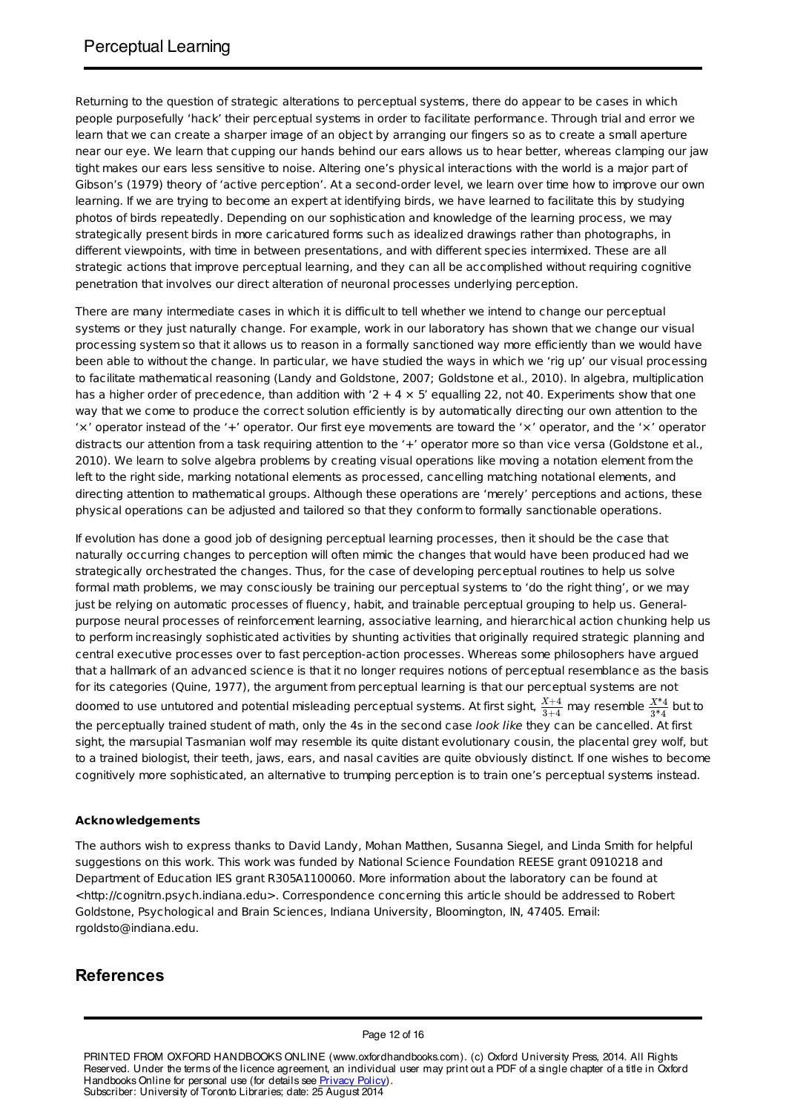Returning to the question of strategic alterations to perceptual systems, there do appear to be cases in which people purposefully 'hack' their perceptual systems in order to facilitate performance. Through trial and error we learn that we can create a sharper image of an object by arranging our fingers so as to create a small aperture near our eye. We learn that cupping our hands behind our ears allows us to hear better, whereas clamping our jaw tight makes our ears less sensitive to noise. Altering one's physical interactions with the world is a major part of Gibson's (1979) theory of 'active perception'. At a second-order level, we learn over time how to improve our own learning. If we are trying to become an expert at identifying birds, we have learned to facilitate this by studying photos of birds repeatedly. Depending on our sophistication and knowledge of the learning process, we may strategically present birds in more caricatured forms such as idealized drawings rather than photographs, in different viewpoints, with time in between presentations, and with different species intermixed. These are all strategic actions that improve perceptual learning, and they can all be accomplished without requiring cognitive penetration that involves our direct alteration of neuronal processes underlying perception.

There are many intermediate cases in which it is difficult to tell whether we intend to change our perceptual systems or they just naturally change. For example, work in our laboratory has shown that we change our visual processing system so that it allows us to reason in a formally sanctioned way more efficiently than we would have been able to without the change. In particular, we have studied the ways in which we 'rig up' our visual processing to facilitate mathematical reasoning (Landy and Goldstone, 2007; Goldstone et al., 2010). In algebra, multiplication has a higher order of precedence, than addition with '2 + 4  $\times$  5' equalling 22, not 40. Experiments show that one way that we come to produce the correct solution efficiently is by automatically directing our own attention to the '×' operator instead of the '+' operator. Our first eye movements are toward the '×' operator, and the '×' operator distracts our attention from a task requiring attention to the '+' operator more so than vice versa (Goldstone et al., 2010). We learn to solve algebra problems by creating visual operations like moving a notation element from the left to the right side, marking notational elements as processed, cancelling matching notational elements, and directing attention to mathematical groups. Although these operations are 'merely' perceptions and actions, these physical operations can be adjusted and tailored so that they conform to formally sanctionable operations.

If evolution has done a good job of designing perceptual learning processes, then it should be the case that naturally occurring changes to perception will often mimic the changes that would have been produced had we strategically orchestrated the changes. Thus, for the case of developing perceptual routines to help us solve formal math problems, we may consciously be training our perceptual systems to 'do the right thing', or we may just be relying on automatic processes of fluency, habit, and trainable perceptual grouping to help us. Generalpurpose neural processes of reinforcement learning, associative learning, and hierarchical action chunking help us to perform increasingly sophisticated activities by shunting activities that originally required strategic planning and central executive processes over to fast perception-action processes. Whereas some philosophers have argued that a hallmark of an advanced science is that it no longer requires notions of perceptual resemblance as the basis for its categories (Quine, 1977), the argument from perceptual learning is that our perceptual systems are not doomed to use untutored and potential misleading perceptual systems. At first sight,  $\frac{X+4}{2+A}$  may resemble  $\frac{X^*4}{2X^*}$  but to the perceptually trained student of math, only the 4s in the second case look like they can be cancelled. At first sight, the marsupial Tasmanian wolf may resemble its quite distant evolutionary cousin, the placental grey wolf, but to a trained biologist, their teeth, jaws, ears, and nasal cavities are quite obviously distinct. If one wishes to become cognitively more sophisticated, an alternative to trumping perception is to train one's perceptual systems instead.  $^{3+4}$ *X*\*4 3\*4

#### **Acknowledgements**

The authors wish to express thanks to David Landy, Mohan Matthen, Susanna Siegel, and Linda Smith for helpful suggestions on this work. This work was funded by National Science Foundation REESE grant 0910218 and Department of Education IES grant R305A1100060. More information about the laboratory can be found at <http://cognitrn.psych.indiana.edu>. Correspondence concerning this article should be addressed to Robert Goldstone, Psychological and Brain Sciences, Indiana University, Bloomington, IN, 47405. Email: rgoldsto@indiana.edu.

## **References**

Page 12 of 16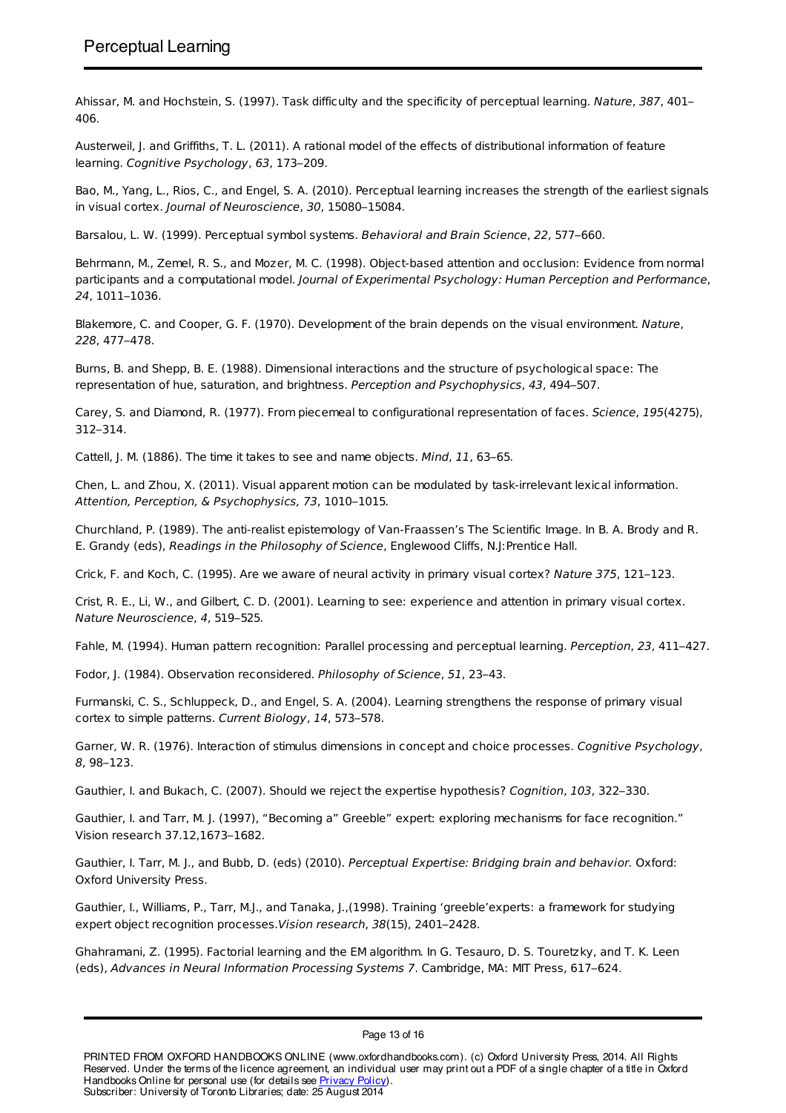Ahissar, M. and Hochstein, S. (1997). Task difficulty and the specificity of perceptual learning. Nature, 387, 401-406.

Austerweil, J. and Griffiths, T. L. (2011). A rational model of the effects of distributional information of feature learning. Cognitive Psychology, 63, 173–209.

Bao, M., Yang, L., Rios, C., and Engel, S. A. (2010). Perceptual learning increases the strength of the earliest signals in visual cortex. Journal of Neuroscience, 30, 15080–15084.

Barsalou, L. W. (1999). Perceptual symbol systems. Behavioral and Brain Science, 22, 577–660.

Behrmann, M., Zemel, R. S., and Mozer, M. C. (1998). Object-based attention and occlusion: Evidence from normal participants and a computational model. Journal of Experimental Psychology: Human Perception and Performance, 24, 1011–1036.

Blakemore, C. and Cooper, G. F. (1970). Development of the brain depends on the visual environment. Nature, 228, 477–478.

Burns, B. and Shepp, B. E. (1988). Dimensional interactions and the structure of psychological space: The representation of hue, saturation, and brightness. Perception and Psychophysics, 43, 494–507.

Carey, S. and Diamond, R. (1977). From piecemeal to configurational representation of faces. Science, 195(4275), 312–314.

Cattell, J. M. (1886). The time it takes to see and name objects. Mind, 11, 63–65.

Chen, L. and Zhou, X. (2011). Visual apparent motion can be modulated by task-irrelevant lexical information. Attention, Perception, & Psychophysics, 73, 1010–1015.

Churchland, P. (1989). The anti-realist epistemology of Van-Fraassen's The Scientific Image. In B. A. Brody and R. E. Grandy (eds), Readings in the Philosophy of Science, Englewood Cliffs, N.J:Prentice Hall.

Crick, F. and Koch, C. (1995). Are we aware of neural activity in primary visual cortex? Nature 375, 121–123.

Crist, R. E., Li, W., and Gilbert, C. D. (2001). Learning to see: experience and attention in primary visual cortex. Nature Neuroscience, 4, 519–525.

Fahle, M. (1994). Human pattern recognition: Parallel processing and perceptual learning. Perception, 23, 411–427.

Fodor, J. (1984). Observation reconsidered. Philosophy of Science, 51, 23–43.

Furmanski, C. S., Schluppeck, D., and Engel, S. A. (2004). Learning strengthens the response of primary visual cortex to simple patterns. Current Biology, 14, 573–578.

Garner, W. R. (1976). Interaction of stimulus dimensions in concept and choice processes. Cognitive Psychology, 8, 98–123.

Gauthier, I. and Bukach, C. (2007). Should we reject the expertise hypothesis? Cognition, 103, 322–330.

Gauthier, I. and Tarr, M. J. (1997), "Becoming a" Greeble" expert: exploring mechanisms for face recognition." Vision research 37.12,1673–1682.

Gauthier, I. Tarr, M. J., and Bubb, D. (eds) (2010). Perceptual Expertise: Bridging brain and behavior. Oxford: Oxford University Press.

Gauthier, I., Williams, P., Tarr, M.J., and Tanaka, J.,(1998). Training 'greeble'experts: a framework for studying expert object recognition processes.Vision research, 38(15), 2401–2428.

Ghahramani, Z. (1995). Factorial learning and the EM algorithm. In G. Tesauro, D. S. Touretzky, and T. K. Leen (eds), Advances in Neural Information Processing Systems 7. Cambridge, MA: MIT Press, 617–624.

#### Page 13 of 16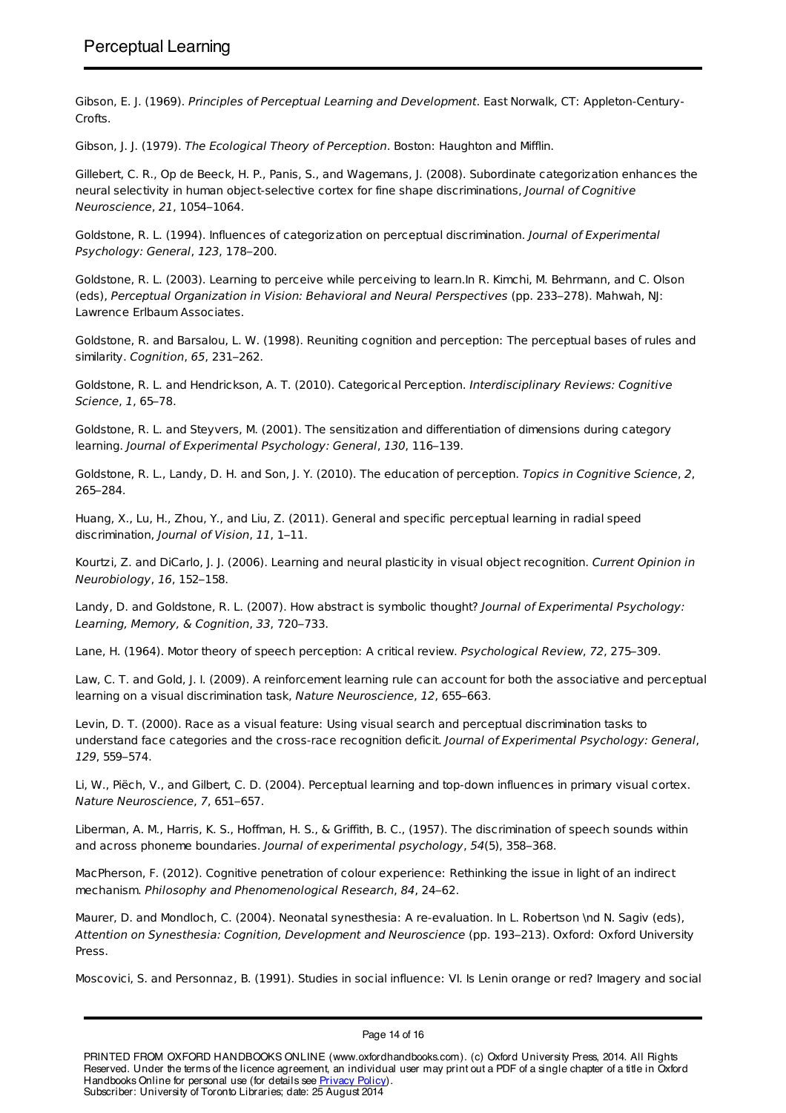Gibson, E. J. (1969). Principles of Perceptual Learning and Development. East Norwalk, CT: Appleton-Century-Crofts.

Gibson, J. J. (1979). The Ecological Theory of Perception. Boston: Haughton and Mifflin.

Gillebert, C. R., Op de Beeck, H. P., Panis, S., and Wagemans, J. (2008). Subordinate categorization enhances the neural selectivity in human object-selective cortex for fine shape discriminations, Journal of Cognitive Neuroscience, 21, 1054–1064.

Goldstone, R. L. (1994). Influences of categorization on perceptual discrimination. Journal of Experimental Psychology: General, 123, 178–200.

Goldstone, R. L. (2003). Learning to perceive while perceiving to learn.In R. Kimchi, M. Behrmann, and C. Olson (eds), Perceptual Organization in Vision: Behavioral and Neural Perspectives (pp. 233–278). Mahwah, NJ: Lawrence Erlbaum Associates.

Goldstone, R. and Barsalou, L. W. (1998). Reuniting cognition and perception: The perceptual bases of rules and similarity. Cognition, 65, 231–262.

Goldstone, R. L. and Hendrickson, A. T. (2010). Categorical Perception. Interdisciplinary Reviews: Cognitive Science, 1, 65–78.

Goldstone, R. L. and Steyvers, M. (2001). The sensitization and differentiation of dimensions during category learning. Journal of Experimental Psychology: General, 130, 116–139.

Goldstone, R. L., Landy, D. H. and Son, J. Y. (2010). The education of perception. Topics in Cognitive Science, 2, 265–284.

Huang, X., Lu, H., Zhou, Y., and Liu, Z. (2011). General and specific perceptual learning in radial speed discrimination, Journal of Vision, 11, 1–11.

Kourtzi, Z. and DiCarlo, J. J. (2006). Learning and neural plasticity in visual object recognition. Current Opinion in Neurobiology, 16, 152–158.

Landy, D. and Goldstone, R. L. (2007). How abstract is symbolic thought? Journal of Experimental Psychology: Learning, Memory, & Cognition, 33, 720–733.

Lane, H. (1964). Motor theory of speech perception: A critical review. Psychological Review, 72, 275–309.

Law, C. T. and Gold, J. I. (2009). A reinforcement learning rule can account for both the associative and perceptual learning on a visual discrimination task, Nature Neuroscience, 12, 655–663.

Levin, D. T. (2000). Race as a visual feature: Using visual search and perceptual discrimination tasks to understand face categories and the cross-race recognition deficit. Journal of Experimental Psychology: General, 129, 559–574.

Li, W., Piëch, V., and Gilbert, C. D. (2004). Perceptual learning and top-down influences in primary visual cortex. Nature Neuroscience, 7, 651–657.

Liberman, A. M., Harris, K. S., Hoffman, H. S., & Griffith, B. C., (1957). The discrimination of speech sounds within and across phoneme boundaries. Journal of experimental psychology, 54(5), 358–368.

MacPherson, F. (2012). Cognitive penetration of colour experience: Rethinking the issue in light of an indirect mechanism. Philosophy and Phenomenological Research, 84, 24–62.

Maurer, D. and Mondloch, C. (2004). Neonatal synesthesia: A re-evaluation. In L. Robertson \nd N. Sagiv (eds), Attention on Synesthesia: Cognition, Development and Neuroscience (pp. 193–213). Oxford: Oxford University Press.

Moscovici, S. and Personnaz, B. (1991). Studies in social influence: VI. Is Lenin orange or red? Imagery and social

Page 14 of 16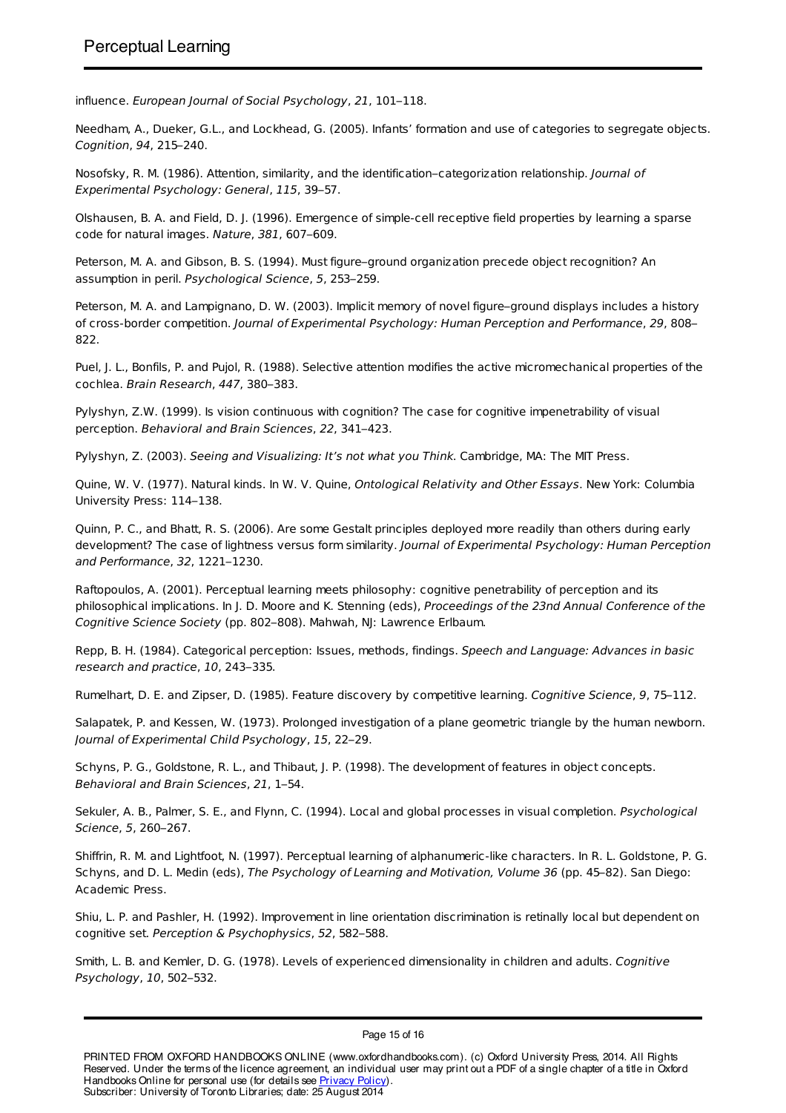influence. European Journal of Social Psychology, 21, 101–118.

Needham, A., Dueker, G.L., and Lockhead, G. (2005). Infants' formation and use of categories to segregate objects. Cognition, 94, 215–240.

Nosofsky, R. M. (1986). Attention, similarity, and the identification–categorization relationship. Journal of Experimental Psychology: General, 115, 39–57.

Olshausen, B. A. and Field, D. J. (1996). Emergence of simple-cell receptive field properties by learning a sparse code for natural images. Nature, 381, 607–609.

Peterson, M. A. and Gibson, B. S. (1994). Must figure–ground organization precede object recognition? An assumption in peril. Psychological Science, 5, 253–259.

Peterson, M. A. and Lampignano, D. W. (2003). Implicit memory of novel figure–ground displays includes a history of cross-border competition. Journal of Experimental Psychology: Human Perception and Performance, 29, 808– 822.

Puel, J. L., Bonfils, P. and Pujol, R. (1988). Selective attention modifies the active micromechanical properties of the cochlea. Brain Research, 447, 380–383.

Pylyshyn, Z.W. (1999). Is vision continuous with cognition? The case for cognitive impenetrability of visual perception. Behavioral and Brain Sciences, 22, 341–423.

Pylyshyn, Z. (2003). Seeing and Visualizing: It's not what you Think. Cambridge, MA: The MIT Press.

Quine, W. V. (1977). Natural kinds. In W. V. Quine, Ontological Relativity and Other Essays. New York: Columbia University Press: 114–138.

Quinn, P. C., and Bhatt, R. S. (2006). Are some Gestalt principles deployed more readily than others during early development? The case of lightness versus form similarity. Journal of Experimental Psychology: Human Perception and Performance, 32, 1221–1230.

Raftopoulos, A. (2001). Perceptual learning meets philosophy: cognitive penetrability of perception and its philosophical implications. In J. D. Moore and K. Stenning (eds), Proceedings of the 23nd Annual Conference of the Cognitive Science Society (pp. 802–808). Mahwah, NJ: Lawrence Erlbaum.

Repp, B. H. (1984). Categorical perception: Issues, methods, findings. Speech and Language: Advances in basic research and practice, 10, 243–335.

Rumelhart, D. E. and Zipser, D. (1985). Feature discovery by competitive learning. Cognitive Science, 9, 75–112.

Salapatek, P. and Kessen, W. (1973). Prolonged investigation of a plane geometric triangle by the human newborn. Journal of Experimental Child Psychology, 15, 22–29.

Schyns, P. G., Goldstone, R. L., and Thibaut, J. P. (1998). The development of features in object concepts. Behavioral and Brain Sciences, 21, 1–54.

Sekuler, A. B., Palmer, S. E., and Flynn, C. (1994). Local and global processes in visual completion. Psychological Science, 5, 260–267.

Shiffrin, R. M. and Lightfoot, N. (1997). Perceptual learning of alphanumeric-like characters. In R. L. Goldstone, P. G. Schyns, and D. L. Medin (eds), The Psychology of Learning and Motivation, Volume 36 (pp. 45–82). San Diego: Academic Press.

Shiu, L. P. and Pashler, H. (1992). Improvement in line orientation discrimination is retinally local but dependent on cognitive set. Perception & Psychophysics, 52, 582–588.

Smith, L. B. and Kemler, D. G. (1978). Levels of experienced dimensionality in children and adults. Cognitive Psychology, 10, 502–532.

Page 15 of 16